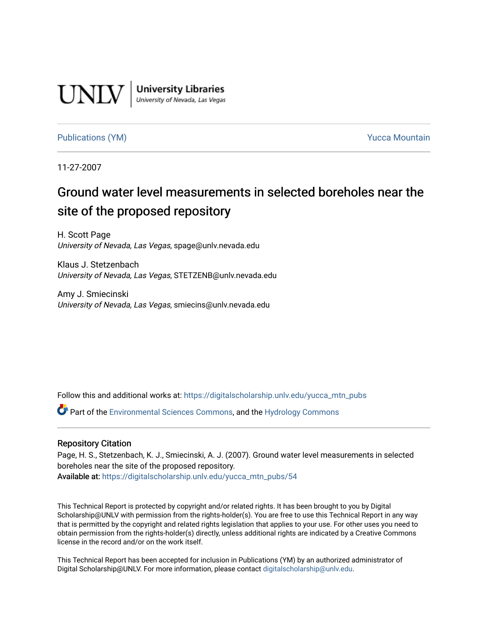

**University Libraries**<br>University of Nevada, Las Vegas

[Publications \(YM\)](https://digitalscholarship.unlv.edu/yucca_mtn_pubs) **Publications (YM) Publications (YM) Publications** (*YM*)

11-27-2007

# Ground water level measurements in selected boreholes near the site of the proposed repository

H. Scott Page University of Nevada, Las Vegas, spage@unlv.nevada.edu

Klaus J. Stetzenbach University of Nevada, Las Vegas, STETZENB@unlv.nevada.edu

Amy J. Smiecinski University of Nevada, Las Vegas, smiecins@unlv.nevada.edu

Follow this and additional works at: [https://digitalscholarship.unlv.edu/yucca\\_mtn\\_pubs](https://digitalscholarship.unlv.edu/yucca_mtn_pubs?utm_source=digitalscholarship.unlv.edu%2Fyucca_mtn_pubs%2F54&utm_medium=PDF&utm_campaign=PDFCoverPages)

Part of the [Environmental Sciences Commons](http://network.bepress.com/hgg/discipline/167?utm_source=digitalscholarship.unlv.edu%2Fyucca_mtn_pubs%2F54&utm_medium=PDF&utm_campaign=PDFCoverPages), and the [Hydrology Commons](http://network.bepress.com/hgg/discipline/1054?utm_source=digitalscholarship.unlv.edu%2Fyucca_mtn_pubs%2F54&utm_medium=PDF&utm_campaign=PDFCoverPages) 

#### Repository Citation

Page, H. S., Stetzenbach, K. J., Smiecinski, A. J. (2007). Ground water level measurements in selected boreholes near the site of the proposed repository. Available at: [https://digitalscholarship.unlv.edu/yucca\\_mtn\\_pubs/54](https://digitalscholarship.unlv.edu/yucca_mtn_pubs/54) 

This Technical Report is protected by copyright and/or related rights. It has been brought to you by Digital Scholarship@UNLV with permission from the rights-holder(s). You are free to use this Technical Report in any way that is permitted by the copyright and related rights legislation that applies to your use. For other uses you need to obtain permission from the rights-holder(s) directly, unless additional rights are indicated by a Creative Commons license in the record and/or on the work itself.

This Technical Report has been accepted for inclusion in Publications (YM) by an authorized administrator of Digital Scholarship@UNLV. For more information, please contact [digitalscholarship@unlv.edu](mailto:digitalscholarship@unlv.edu).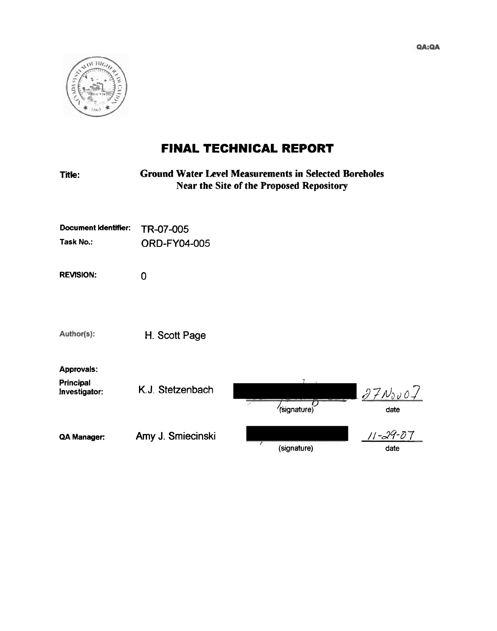

# **FINAL TECHNICAL REPORT**

| Title:                                          |                                  | <b>Ground Water Level Measurements in Selected Boreholes</b><br><b>Near the Site of the Proposed Repository</b> |                        |
|-------------------------------------------------|----------------------------------|-----------------------------------------------------------------------------------------------------------------|------------------------|
| Document Identifier:<br>Task No.:               | TR-07-005<br><b>ORD-FY04-005</b> |                                                                                                                 |                        |
| <b>REVISION:</b>                                | $\overline{0}$                   |                                                                                                                 |                        |
|                                                 |                                  |                                                                                                                 |                        |
| Author(s):                                      | H. Scott Page                    |                                                                                                                 |                        |
| <b>Approvals:</b><br>Principal<br>Investigator: | K.J. Stetzenbach                 | (signature)                                                                                                     | $37N_{0}$ vo /<br>date |
| QA Manager:                                     | Amy J. Smiecinski                | (signature)                                                                                                     | 11-29-07<br>date       |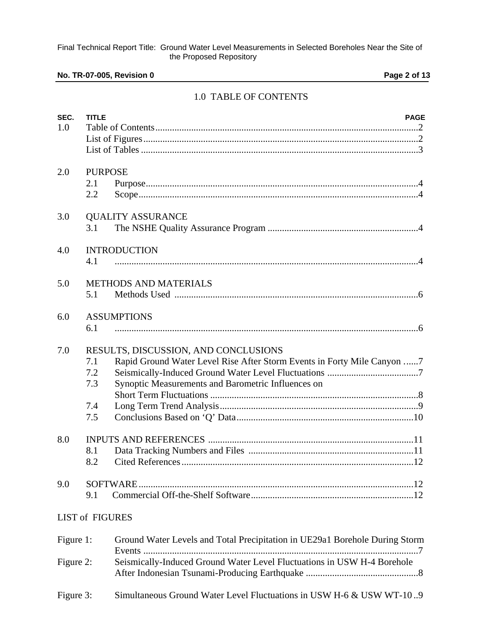# **No. TR-07-005, Revision 0 Page 2 of 13**

# 1.0 TABLE OF CONTENTS

| SEC.<br>1.0 | <b>TITLE</b>                    | <b>PAGE</b>                                                                                                                                                           |
|-------------|---------------------------------|-----------------------------------------------------------------------------------------------------------------------------------------------------------------------|
| 2.0         | <b>PURPOSE</b><br>2.1<br>2.2    |                                                                                                                                                                       |
| 3.0         | 3.1                             | <b>QUALITY ASSURANCE</b>                                                                                                                                              |
| 4.0         | 4.1                             | <b>INTRODUCTION</b>                                                                                                                                                   |
| 5.0         | 5.1                             | <b>METHODS AND MATERIALS</b>                                                                                                                                          |
| 6.0         | 6.1                             | <b>ASSUMPTIONS</b>                                                                                                                                                    |
| 7.0         | 7.1<br>7.2<br>7.3<br>7.4<br>7.5 | RESULTS, DISCUSSION, AND CONCLUSIONS<br>Rapid Ground Water Level Rise After Storm Events in Forty Mile Canyon 7<br>Synoptic Measurements and Barometric Influences on |
| 8.0         | 8.1<br>8.2                      |                                                                                                                                                                       |
| 9.0         | SOFTWARE.<br>9.1                |                                                                                                                                                                       |
|             | LIST of FIGURES                 |                                                                                                                                                                       |
| Figure 1:   |                                 | Ground Water Levels and Total Precipitation in UE29a1 Borehole During Storm                                                                                           |
| Figure 2:   |                                 | Seismically-Induced Ground Water Level Fluctuations in USW H-4 Borehole                                                                                               |
| Figure 3:   |                                 | Simultaneous Ground Water Level Fluctuations in USW H-6 & USW WT-109                                                                                                  |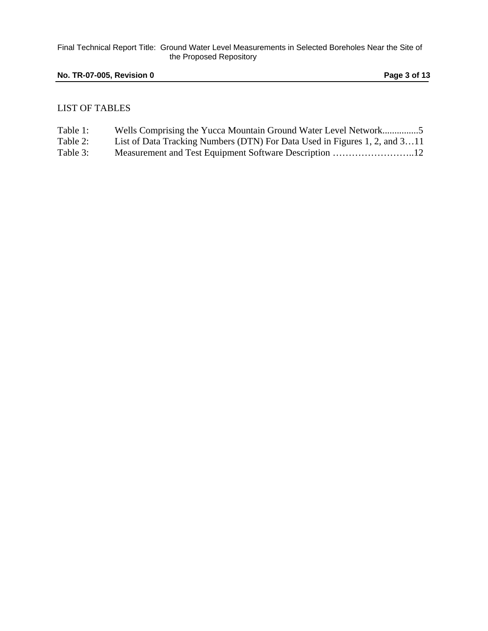## **No. TR-07-005, Revision 0 Page 3 of 13**

#### LIST OF TABLES

| Table 1: |  |  |  |  |  | Wells Comprising the Yucca Mountain Ground Water Level Network5 |  |
|----------|--|--|--|--|--|-----------------------------------------------------------------|--|
|          |  |  |  |  |  |                                                                 |  |

Table 2: List of Data Tracking Numbers (DTN) For Data Used in Figures 1, 2, and 3…11

Table 3: Measurement and Test Equipment Software Description ……………………..12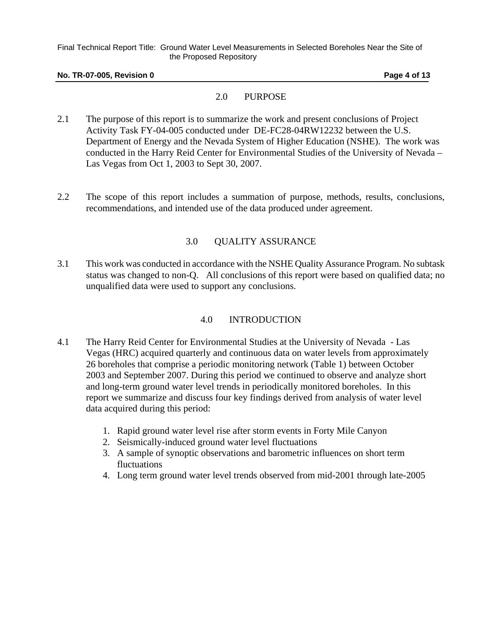#### **No. TR-07-005, Revision 0 Page 4 of 13**

# 2.0 PURPOSE

- 2.1 The purpose of this report is to summarize the work and present conclusions of Project Activity Task FY-04-005 conducted under DE-FC28-04RW12232 between the U.S. Department of Energy and the Nevada System of Higher Education (NSHE). The work was conducted in the Harry Reid Center for Environmental Studies of the University of Nevada – Las Vegas from Oct 1, 2003 to Sept 30, 2007.
- 2.2 The scope of this report includes a summation of purpose, methods, results, conclusions, recommendations, and intended use of the data produced under agreement.

## 3.0 QUALITY ASSURANCE

3.1 This work was conducted in accordance with the NSHE Quality Assurance Program. No subtask status was changed to non-Q. All conclusions of this report were based on qualified data; no unqualified data were used to support any conclusions.

# 4.0 INTRODUCTION

- 4.1 The Harry Reid Center for Environmental Studies at the University of Nevada Las Vegas (HRC) acquired quarterly and continuous data on water levels from approximately 26 boreholes that comprise a periodic monitoring network (Table 1) between October 2003 and September 2007. During this period we continued to observe and analyze short and long-term ground water level trends in periodically monitored boreholes. In this report we summarize and discuss four key findings derived from analysis of water level data acquired during this period:
	- 1. Rapid ground water level rise after storm events in Forty Mile Canyon
	- 2. Seismically-induced ground water level fluctuations
	- 3. A sample of synoptic observations and barometric influences on short term fluctuations
	- 4. Long term ground water level trends observed from mid-2001 through late-2005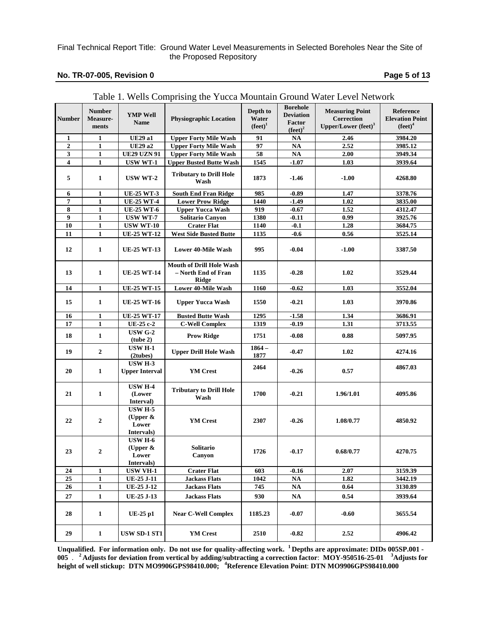#### **No. TR-07-005, Revision 0 Page 5 of 13**

|                  |                                    |                                                      | Table 1. Wens Comprising the Tucca Mountain Ground Watch Level Network |                                 |                                                                           |                                                                         |                                                   |
|------------------|------------------------------------|------------------------------------------------------|------------------------------------------------------------------------|---------------------------------|---------------------------------------------------------------------------|-------------------------------------------------------------------------|---------------------------------------------------|
| <b>Number</b>    | <b>Number</b><br>Measure-<br>ments | <b>YMP Well</b><br>Name                              | <b>Physiographic Location</b>                                          | Depth to<br>Water<br>$(fect)^1$ | <b>Borehole</b><br><b>Deviation</b><br><b>Factor</b><br>$(\text{feet})^2$ | <b>Measuring Point</b><br>Correction<br>Upper/Lower (feet) <sup>3</sup> | Reference<br><b>Elevation Point</b><br>$(fect)^4$ |
| 1                | $\mathbf{1}$                       | <b>UE29 a1</b>                                       | <b>Upper Forty Mile Wash</b>                                           | 91                              | <b>NA</b>                                                                 | 2.46                                                                    | 3984.20                                           |
| $\overline{2}$   | $\mathbf{1}$                       | <b>UE29 a2</b>                                       | <b>Upper Forty Mile Wash</b>                                           | 97                              | $\mathbf{NA}$                                                             | 2.52                                                                    | 3985.12                                           |
| $\mathbf{3}$     | $\mathbf{1}$                       | <b>UE29 UZN 91</b>                                   | <b>Upper Forty Mile Wash</b>                                           | 58                              | $\mathbf{NA}$                                                             | 2.00                                                                    | 3949.34                                           |
| 4                | $\mathbf{1}$                       | USW WT-1                                             | <b>Upper Busted Butte Wash</b>                                         | 1545                            | $-1.07$                                                                   | 1.03                                                                    | 3939.64                                           |
|                  |                                    |                                                      |                                                                        |                                 |                                                                           |                                                                         |                                                   |
| 5                | $\mathbf{1}$                       | $\,$ USW WT-2 $\,$                                   | <b>Tributary to Drill Hole</b><br>Wash                                 | 1873                            | $-1.46$                                                                   | $-1.00$                                                                 | 4268.80                                           |
| 6                | $\mathbf{1}$                       | <b>UE-25 WT-3</b>                                    | <b>South End Fran Ridge</b>                                            | 985                             | $-0.89$                                                                   | 1.47                                                                    | 3378.76                                           |
| 7                | $\mathbf{1}$                       | <b>UE-25 WT-4</b>                                    | <b>Lower Prow Ridge</b>                                                | 1440                            | $-1.49$                                                                   | 1.02                                                                    | 3835.00                                           |
| 8                | $\mathbf{1}$                       | <b>UE-25 WT-6</b>                                    | <b>Upper Yucca Wash</b>                                                | 919                             | $-0.67$                                                                   | 1.52                                                                    | 4312.47                                           |
| $\boldsymbol{9}$ | $\mathbf{1}$                       | USW WT-7                                             | <b>Solitario Canyon</b>                                                | 1380                            | $-0.11$                                                                   | 0.99                                                                    | 3925.76                                           |
| 10               | $\mathbf{1}$                       | <b>USW WT-10</b>                                     | <b>Crater Flat</b>                                                     | 1140                            | $-0.1$                                                                    | 1.28                                                                    | 3684.75                                           |
| 11               | 1                                  | <b>UE-25 WT-12</b>                                   | <b>West Side Busted Butte</b>                                          | 1135                            | $-0.6$                                                                    | 0.56                                                                    | 3525.14                                           |
|                  |                                    |                                                      |                                                                        |                                 |                                                                           |                                                                         |                                                   |
| 12               | $\mathbf{1}$                       | <b>UE-25 WT-13</b>                                   | <b>Lower 40-Mile Wash</b>                                              | 995                             | $-0.04$                                                                   | $-1.00$                                                                 | 3387.50                                           |
| 13               | $\mathbf{1}$                       | <b>UE-25 WT-14</b>                                   | <b>Mouth of Drill Hole Wash</b><br>- North End of Fran<br><b>Ridge</b> | 1135                            | $-0.28$                                                                   | 1.02                                                                    | 3529.44                                           |
| 14               | $\mathbf{1}$                       | <b>UE-25 WT-15</b>                                   | <b>Lower 40-Mile Wash</b>                                              | 1160                            | $-0.62$                                                                   | 1.03                                                                    | 3552.04                                           |
| 15               | $\mathbf{1}$                       | <b>UE-25 WT-16</b>                                   | <b>Upper Yucca Wash</b>                                                | 1550                            | $-0.21$                                                                   | 1.03                                                                    | 3970.86                                           |
| 16               | $\mathbf{1}$                       | <b>UE-25 WT-17</b>                                   | <b>Busted Butte Wash</b>                                               | 1295                            | $-1.58$                                                                   | 1.34                                                                    | 3686.91                                           |
| 17               | $\mathbf{1}$                       | UE-25 c-2                                            | <b>C-Well Complex</b>                                                  | 1319                            | $-0.19$                                                                   | 1.31                                                                    | 3713.55                                           |
|                  |                                    | <b>USW G-2</b>                                       |                                                                        |                                 |                                                                           |                                                                         |                                                   |
| 18               | $\mathbf{1}$                       | (tube 2)                                             | <b>Prow Ridge</b>                                                      | 1751                            | $-0.08$                                                                   | $\bf 0.88$                                                              | 5097.95                                           |
| 19               | $\boldsymbol{2}$                   | USW H-1<br>(2tubes)                                  | <b>Upper Drill Hole Wash</b>                                           | $1864 -$<br>1877                | $-0.47$                                                                   | 1.02                                                                    | 4274.16                                           |
| 20               | 1                                  | <b>USW H-3</b><br><b>Upper Interval</b>              | <b>YM</b> Crest                                                        | 2464                            | $-0.26$                                                                   | 0.57                                                                    | 4867.03                                           |
| 21               | $\mathbf{1}$                       | <b>USW H-4</b><br>(Lower<br>Interval)                | <b>Tributary to Drill Hole</b><br>Wash                                 | 1700                            | $-0.21$                                                                   | 1.96/1.01                                                               | 4095.86                                           |
| 22               | $\boldsymbol{2}$                   | <b>USW H-5</b><br>(Upper $\&$<br>Lower<br>Intervals) | <b>YM Crest</b>                                                        | 2307                            | $-0.26$                                                                   | 1.08/0.77                                                               | 4850.92                                           |
| 23               | $\boldsymbol{2}$                   | <b>USW H-6</b><br>(Upper $\&$<br>Lower<br>Intervals) | Solitario<br>Canyon                                                    | 1726                            | $-0.17$                                                                   | 0.68/0.77                                                               | 4270.75                                           |
| 24               | $\mathbf{1}$                       | <b>USW VH-1</b>                                      | <b>Crater Flat</b>                                                     | 603                             | -0.16                                                                     | 2.07                                                                    | 3159.39                                           |
| 25               | $\mathbf{1}$                       | <b>UE-25 J-11</b>                                    | <b>Jackass Flats</b>                                                   | 1042                            | NA                                                                        | 1.82                                                                    | 3442.19                                           |
| 26               | 1                                  | UE-25 J-12                                           | <b>Jackass Flats</b>                                                   | 745                             | NA                                                                        | 0.64                                                                    | 3130.89                                           |
| 27               | $\mathbf{1}$                       |                                                      |                                                                        |                                 |                                                                           | 0.54                                                                    | 3939.64                                           |
|                  |                                    | UE-25 J-13                                           | <b>Jackass Flats</b>                                                   | 930                             | <b>NA</b>                                                                 |                                                                         |                                                   |
| 28               | $\mathbf 1$                        | $UE-25$ p1                                           | <b>Near C-Well Complex</b>                                             | 1185.23                         | $-0.07$                                                                   | $-0.60$                                                                 | 3655.54                                           |
| 29               | $\mathbf{1}$                       | <b>USW SD-1 ST1</b>                                  | <b>YM</b> Crest                                                        | 2510                            | $-0.82$                                                                   | 2.52                                                                    | 4906.42                                           |

Table 1. Wells Comprising the Yucca Mountain Ground Water Level Network

**Unqualified. For information only. Do not use for quality-affecting work. 1 Depths are approximate: DIDs 005SP.001 - 005** . **2 Adjusts for deviation from vertical by adding/subtracting a correction factor**: **MOY-950516-25-01 <sup>3</sup> Adjusts for height of well stickup: DTN MO9906GPS98410.000; <sup>4</sup> Reference Elevation Point**: **DTN MO9906GPS98410.000**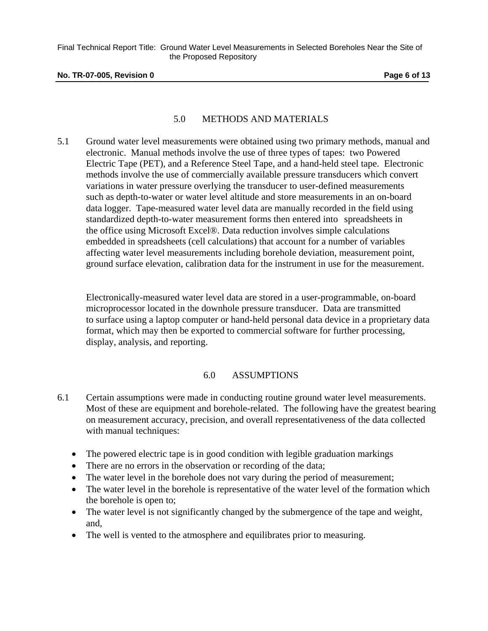#### **No. TR-07-005, Revision 0 Page 6 of 13**

## 5.0 METHODS AND MATERIALS

5.1 Ground water level measurements were obtained using two primary methods, manual and electronic. Manual methods involve the use of three types of tapes: two Powered Electric Tape (PET), and a Reference Steel Tape, and a hand-held steel tape. Electronic methods involve the use of commercially available pressure transducers which convert variations in water pressure overlying the transducer to user-defined measurements such as depth-to-water or water level altitude and store measurements in an on-board data logger. Tape-measured water level data are manually recorded in the field using standardized depth-to-water measurement forms then entered into spreadsheets in the office using Microsoft Excel®. Data reduction involves simple calculations embedded in spreadsheets (cell calculations) that account for a number of variables affecting water level measurements including borehole deviation, measurement point, ground surface elevation, calibration data for the instrument in use for the measurement.

 Electronically-measured water level data are stored in a user-programmable, on-board microprocessor located in the downhole pressure transducer. Data are transmitted to surface using a laptop computer or hand-held personal data device in a proprietary data format, which may then be exported to commercial software for further processing, display, analysis, and reporting.

## 6.0 ASSUMPTIONS

- 6.1 Certain assumptions were made in conducting routine ground water level measurements. Most of these are equipment and borehole-related. The following have the greatest bearing on measurement accuracy, precision, and overall representativeness of the data collected with manual techniques:
	- The powered electric tape is in good condition with legible graduation markings
	- There are no errors in the observation or recording of the data;
	- The water level in the borehole does not vary during the period of measurement;
	- The water level in the borehole is representative of the water level of the formation which the borehole is open to;
	- The water level is not significantly changed by the submergence of the tape and weight, and,
	- The well is vented to the atmosphere and equilibrates prior to measuring.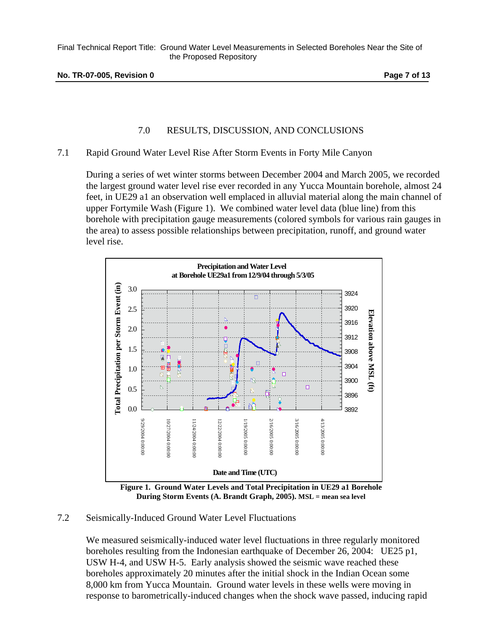# 7.0 RESULTS, DISCUSSION, AND CONCLUSIONS

## 7.1 Rapid Ground Water Level Rise After Storm Events in Forty Mile Canyon

During a series of wet winter storms between December 2004 and March 2005, we recorded the largest ground water level rise ever recorded in any Yucca Mountain borehole, almost 24 feet, in UE29 a1 an observation well emplaced in alluvial material along the main channel of upper Fortymile Wash (Figure 1). We combined water level data (blue line) from this borehole with precipitation gauge measurements (colored symbols for various rain gauges in the area) to assess possible relationships between precipitation, runoff, and ground water level rise.



 **Figure 1. Ground Water Levels and Total Precipitation in UE29 a1 Borehole During Storm Events (A. Brandt Graph, 2005). MSL = mean sea level**

## 7.2 Seismically-Induced Ground Water Level Fluctuations

We measured seismically-induced water level fluctuations in three regularly monitored boreholes resulting from the Indonesian earthquake of December 26, 2004: UE25 p1, USW H-4, and USW H-5. Early analysis showed the seismic wave reached these boreholes approximately 20 minutes after the initial shock in the Indian Ocean some 8,000 km from Yucca Mountain. Ground water levels in these wells were moving in response to barometrically-induced changes when the shock wave passed, inducing rapid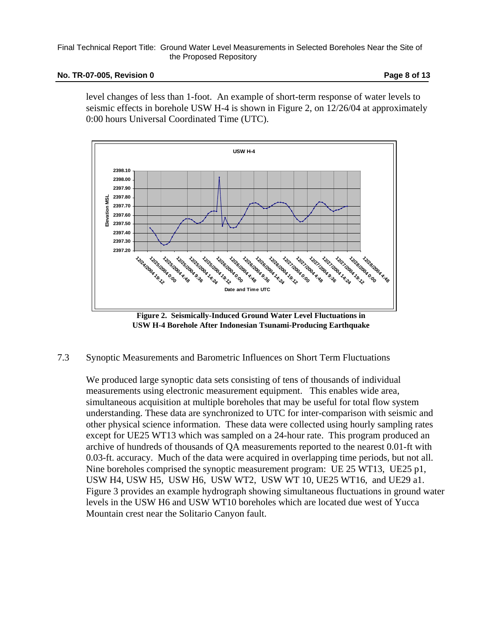#### **No. TR-07-005, Revision 0 Page 8 of 13**

level changes of less than 1-foot. An example of short-term response of water levels to seismic effects in borehole USW H-4 is shown in Figure 2, on 12/26/04 at approximately 0:00 hours Universal Coordinated Time (UTC).



**Figure 2. Seismically-Induced Ground Water Level Fluctuations in USW H-4 Borehole After Indonesian Tsunami-Producing Earthquake** 

## 7.3 Synoptic Measurements and Barometric Influences on Short Term Fluctuations

We produced large synoptic data sets consisting of tens of thousands of individual measurements using electronic measurement equipment. This enables wide area, simultaneous acquisition at multiple boreholes that may be useful for total flow system understanding. These data are synchronized to UTC for inter-comparison with seismic and other physical science information. These data were collected using hourly sampling rates except for UE25 WT13 which was sampled on a 24-hour rate. This program produced an archive of hundreds of thousands of QA measurements reported to the nearest 0.01-ft with 0.03-ft. accuracy. Much of the data were acquired in overlapping time periods, but not all. Nine boreholes comprised the synoptic measurement program: UE 25 WT13, UE25 p1, USW H4, USW H5, USW H6, USW WT2, USW WT 10, UE25 WT16, and UE29 a1. Figure 3 provides an example hydrograph showing simultaneous fluctuations in ground water levels in the USW H6 and USW WT10 boreholes which are located due west of Yucca Mountain crest near the Solitario Canyon fault.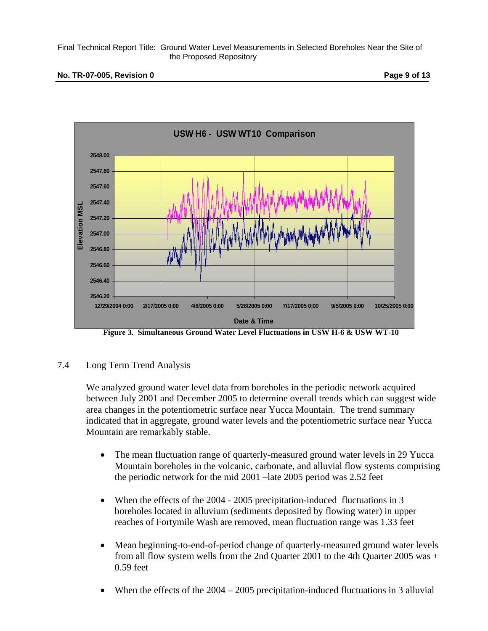#### **No. TR-07-005, Revision 0 Page 9 of 13**



**Figure 3. Simultaneous Ground Water Level Fluctuations in USW H-6 & USW WT-10** 

## 7.4 Long Term Trend Analysis

We analyzed ground water level data from boreholes in the periodic network acquired between July 2001 and December 2005 to determine overall trends which can suggest wide area changes in the potentiometric surface near Yucca Mountain. The trend summary indicated that in aggregate, ground water levels and the potentiometric surface near Yucca Mountain are remarkably stable.

- The mean fluctuation range of quarterly-measured ground water levels in 29 Yucca Mountain boreholes in the volcanic, carbonate, and alluvial flow systems comprising the periodic network for the mid 2001 –late 2005 period was 2.52 feet
- When the effects of the 2004 2005 precipitation-induced fluctuations in 3 boreholes located in alluvium (sediments deposited by flowing water) in upper reaches of Fortymile Wash are removed, mean fluctuation range was 1.33 feet
- Mean beginning-to-end-of-period change of quarterly-measured ground water levels from all flow system wells from the 2nd Quarter 2001 to the 4th Quarter 2005 was + 0.59 feet
- When the effects of the 2004 2005 precipitation-induced fluctuations in 3 alluvial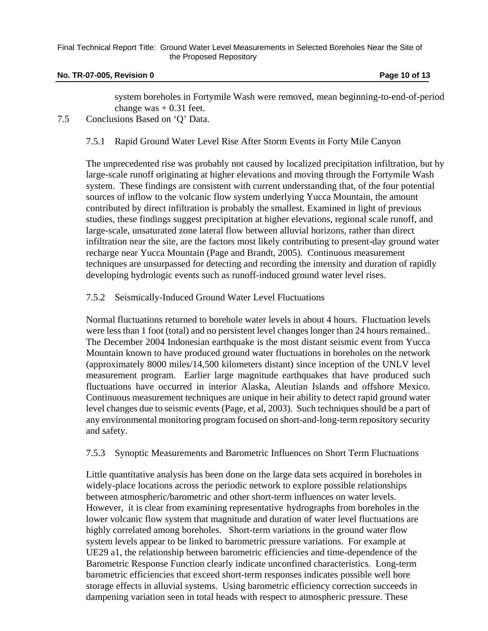#### **No. TR-07-005, Revision 0 Page 10 of 13 Page 10 of 13**

system boreholes in Fortymile Wash were removed, mean beginning-to-end-of-period change was  $+$  0.31 feet.

## 7.5 Conclusions Based on 'Q' Data.

7.5.1 Rapid Ground Water Level Rise After Storm Events in Forty Mile Canyon

The unprecedented rise was probably not caused by localized precipitation infiltration, but by large-scale runoff originating at higher elevations and moving through the Fortymile Wash system. These findings are consistent with current understanding that, of the four potential sources of inflow to the volcanic flow system underlying Yucca Mountain, the amount contributed by direct infiltration is probably the smallest. Examined in light of previous studies, these findings suggest precipitation at higher elevations, regional scale runoff, and large-scale, unsaturated zone lateral flow between alluvial horizons, rather than direct infiltration near the site, are the factors most likely contributing to present-day ground water recharge near Yucca Mountain (Page and Brandt, 2005). Continuous measurement techniques are unsurpassed for detecting and recording the intensity and duration of rapidly developing hydrologic events such as runoff-induced ground water level rises.

## 7.5.2 Seismically-Induced Ground Water Level Fluctuations

Normal fluctuations returned to borehole water levels in about 4 hours. Fluctuation levels were less than 1 foot (total) and no persistent level changes longer than 24 hours remained.. The December 2004 Indonesian earthquake is the most distant seismic event from Yucca Mountain known to have produced ground water fluctuations in boreholes on the network (approximately 8000 miles/14,500 kilometers distant) since inception of the UNLV level measurement program. Earlier large magnitude earthquakes that have produced such fluctuations have occurred in interior Alaska, Aleutian Islands and offshore Mexico. Continuous measurement techniques are unique in heir ability to detect rapid ground water level changes due to seismic events (Page, et al, 2003). Such techniques should be a part of any environmental monitoring program focused on short-and-long-term repository security and safety.

## 7.5.3 Synoptic Measurements and Barometric Influences on Short Term Fluctuations

Little quantitative analysis has been done on the large data sets acquired in boreholes in widely-place locations across the periodic network to explore possible relationships between atmospheric/barometric and other short-term influences on water levels. However, it is clear from examining representative hydrographs from boreholes in the lower volcanic flow system that magnitude and duration of water level fluctuations are highly correlated among boreholes. Short-term variations in the ground water flow system levels appear to be linked to barometric pressure variations. For example at UE29 a1, the relationship between barometric efficiencies and time-dependence of the Barometric Response Function clearly indicate unconfined characteristics. Long-term barometric efficiencies that exceed short-term responses indicates possible well bore storage effects in alluvial systems. Using barometric efficiency correction succeeds in dampening variation seen in total heads with respect to atmospheric pressure. These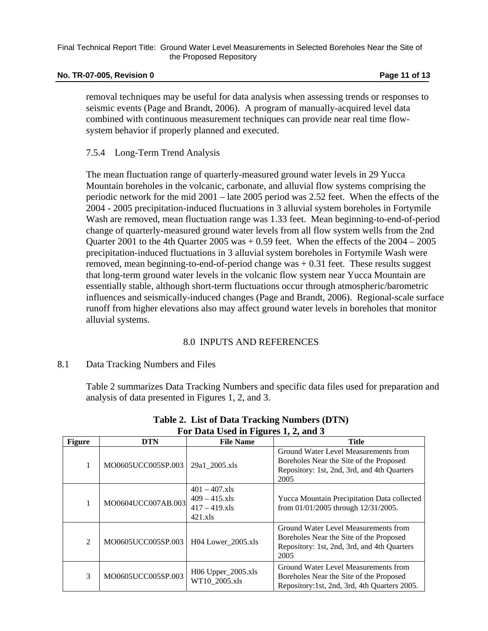#### **No. TR-07-005, Revision 0 Page 11 of 13 Page 11 of 13**

removal techniques may be useful for data analysis when assessing trends or responses to seismic events (Page and Brandt, 2006). A program of manually-acquired level data combined with continuous measurement techniques can provide near real time flowsystem behavior if properly planned and executed.

## 7.5.4 Long-Term Trend Analysis

The mean fluctuation range of quarterly-measured ground water levels in 29 Yucca Mountain boreholes in the volcanic, carbonate, and alluvial flow systems comprising the periodic network for the mid 2001 – late 2005 period was 2.52 feet. When the effects of the 2004 - 2005 precipitation-induced fluctuations in 3 alluvial system boreholes in Fortymile Wash are removed, mean fluctuation range was 1.33 feet. Mean beginning-to-end-of-period change of quarterly-measured ground water levels from all flow system wells from the 2nd Quarter 2001 to the 4th Quarter 2005 was  $+0.59$  feet. When the effects of the  $2004 - 2005$ precipitation-induced fluctuations in 3 alluvial system boreholes in Fortymile Wash were removed, mean beginning-to-end-of-period change was  $+ 0.31$  feet. These results suggest that long-term ground water levels in the volcanic flow system near Yucca Mountain are essentially stable, although short-term fluctuations occur through atmospheric/barometric influences and seismically-induced changes (Page and Brandt, 2006). Regional-scale surface runoff from higher elevations also may affect ground water levels in boreholes that monitor alluvial systems.

## 8.0 INPUTS AND REFERENCES

## 8.1 Data Tracking Numbers and Files

Table 2 summarizes Data Tracking Numbers and specific data files used for preparation and analysis of data presented in Figures 1, 2, and 3.

|               | Ful Data Oscu in Figures 1, 2, and 5 |                                                                      |                                                                                                                                        |  |  |  |  |
|---------------|--------------------------------------|----------------------------------------------------------------------|----------------------------------------------------------------------------------------------------------------------------------------|--|--|--|--|
| <b>Figure</b> | <b>DTN</b>                           | <b>File Name</b>                                                     | <b>Title</b>                                                                                                                           |  |  |  |  |
| 1             | MO0605UCC005SP.003                   | 29a1 2005.xls                                                        | Ground Water Level Measurements from<br>Boreholes Near the Site of the Proposed<br>Repository: 1st, 2nd, 3rd, and 4th Quarters<br>2005 |  |  |  |  |
| 1             | MO0604UCC007AB.003                   | $401 - 407$ x s<br>$409 - 415$ x s<br>$417 - 419$ .xls<br>$421$ x ls | Yucca Mountain Precipitation Data collected<br>from 01/01/2005 through 12/31/2005.                                                     |  |  |  |  |
| 2             | MO0605UCC005SP.003                   | H04 Lower_2005.xls                                                   | Ground Water Level Measurements from<br>Boreholes Near the Site of the Proposed<br>Repository: 1st, 2nd, 3rd, and 4th Quarters<br>2005 |  |  |  |  |
| 3             | MO0605UCC005SP.003                   | $H06$ Upper $_2005$ .xls<br>WT10 2005.xls                            | Ground Water Level Measurements from<br>Boreholes Near the Site of the Proposed<br>Repository:1st, 2nd, 3rd, 4th Quarters 2005.        |  |  |  |  |

**Table 2. List of Data Tracking Numbers (DTN) For Data Used in Figures 1, 2, and 3**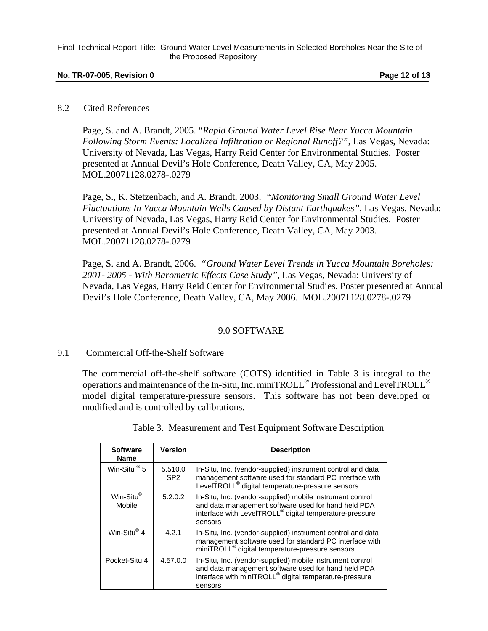#### **No. TR-07-005, Revision 0 Page 12 of 13 Page 12 of 13**

#### 8.2 Cited References

Page, S. and A. Brandt, 2005. "*Rapid Ground Water Level Rise Near Yucca Mountain Following Storm Events: Localized Infiltration or Regional Runoff?"*, Las Vegas, Nevada: University of Nevada, Las Vegas, Harry Reid Center for Environmental Studies. Poster presented at Annual Devil's Hole Conference, Death Valley, CA, May 2005. MOL.20071128.0278-.0279

Page, S., K. Stetzenbach, and A. Brandt, 2003. *"Monitoring Small Ground Water Level Fluctuations In Yucca Mountain Wells Caused by Distant Earthquakes"*, Las Vegas, Nevada: University of Nevada, Las Vegas, Harry Reid Center for Environmental Studies. Poster presented at Annual Devil's Hole Conference, Death Valley, CA, May 2003. MOL.20071128.0278-.0279

Page, S. and A. Brandt, 2006. *"Ground Water Level Trends in Yucca Mountain Boreholes: 2001- 2005 - With Barometric Effects Case Study"*, Las Vegas, Nevada: University of Nevada, Las Vegas, Harry Reid Center for Environmental Studies. Poster presented at Annual Devil's Hole Conference, Death Valley, CA, May 2006. MOL.20071128.0278-.0279

## 9.0 SOFTWARE

#### 9.1 Commercial Off-the-Shelf Software

The commercial off-the-shelf software (COTS) identified in Table 3 is integral to the operations and maintenance of the In-Situ, Inc. miniTROLL® Professional and LevelTROLL® model digital temperature-pressure sensors. This software has not been developed or modified and is controlled by calibrations.

| <b>Software</b><br><b>Name</b> | Version                    | <b>Description</b>                                                                                                                                                                                 |
|--------------------------------|----------------------------|----------------------------------------------------------------------------------------------------------------------------------------------------------------------------------------------------|
| Win-Situ $^{\circ}$ 5          | 5.510.0<br>SP <sub>2</sub> | In-Situ, Inc. (vendor-supplied) instrument control and data<br>management software used for standard PC interface with<br>LevelTROLL <sup>®</sup> digital temperature-pressure sensors             |
| Win-Situ®<br>Mobile            | 5.2.0.2                    | In-Situ, Inc. (vendor-supplied) mobile instrument control<br>and data management software used for hand held PDA<br>interface with LevelTROLL <sup>®</sup> digital temperature-pressure<br>sensors |
| Win-Situ® 4                    | 4.2.1                      | In-Situ, Inc. (vendor-supplied) instrument control and data<br>management software used for standard PC interface with<br>miniTROLL <sup>®</sup> digital temperature-pressure sensors              |
| Pocket-Situ 4                  | 4.57.0.0                   | In-Situ, Inc. (vendor-supplied) mobile instrument control<br>and data management software used for hand held PDA<br>interface with miniTROLL <sup>®</sup> digital temperature-pressure<br>sensors  |

Table 3. Measurement and Test Equipment Software Description